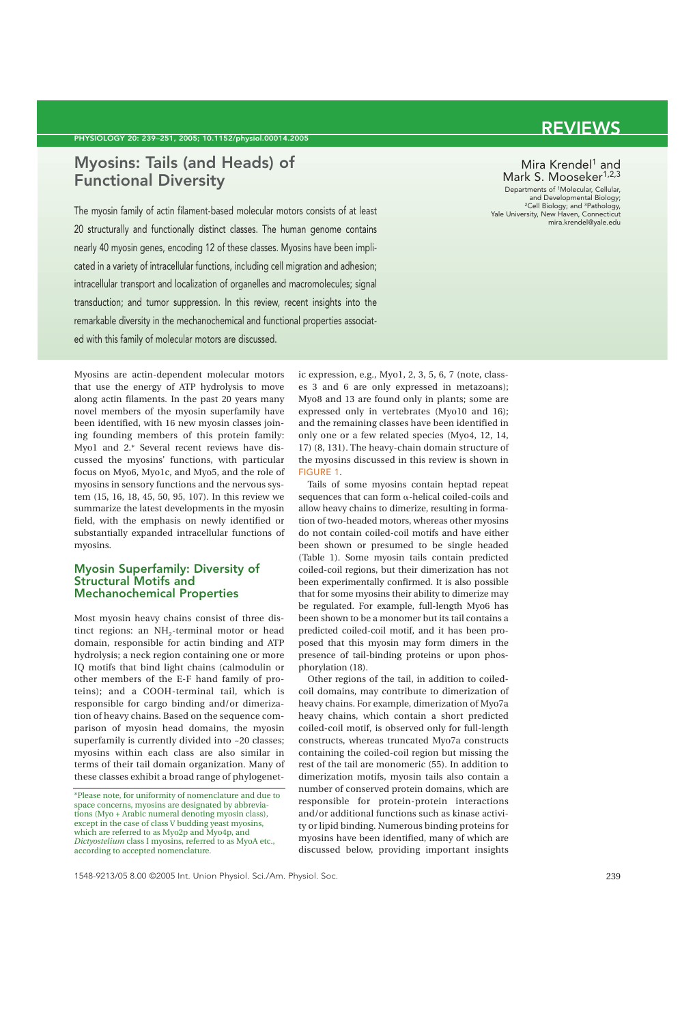### **Myosins: Tails (and Heads) of Functional Diversity**

The myosin family of actin filament-based molecular motors consists of at least 20 structurally and functionally distinct classes. The human genome contains nearly 40 myosin genes, encoding 12 of these classes. Myosins have been implicated in a variety of intracellular functions, including cell migration and adhesion; intracellular transport and localization of organelles and macromolecules; signal transduction; and tumor suppression. In this review, recent insights into the remarkable diversity in the mechanochemical and functional properties associated with this family of molecular motors are discussed.

# **REVIEWS**

#### Mira Krendel<sup>1</sup> and Mark S. Mooseker<sup>1,2,3</sup>

Departments of 1Molecular, Cellular, and Developmental Biology; 2Cell Biology; and 3Pathology, Yale University, New Haven, Connecticut mira.krendel@yale.edu

Myosins are actin-dependent molecular motors that use the energy of ATP hydrolysis to move along actin filaments. In the past 20 years many novel members of the myosin superfamily have been identified, with 16 new myosin classes joining founding members of this protein family: Myo1 and 2.\* Several recent reviews have discussed the myosins' functions, with particular focus on Myo6, Myo1c, and Myo5, and the role of myosins in sensory functions and the nervous system (15, 16, 18, 45, 50, 95, 107). In this review we summarize the latest developments in the myosin field, with the emphasis on newly identified or substantially expanded intracellular functions of myosins.

#### **Myosin Superfamily: Diversity of Structural Motifs and Mechanochemical Properties**

Most myosin heavy chains consist of three distinct regions: an NH<sub>2</sub>-terminal motor or head domain, responsible for actin binding and ATP hydrolysis; a neck region containing one or more IQ motifs that bind light chains (calmodulin or other members of the E-F hand family of proteins); and a COOH-terminal tail, which is responsible for cargo binding and/or dimerization of heavy chains. Based on the sequence comparison of myosin head domains, the myosin superfamily is currently divided into ~20 classes; myosins within each class are also similar in terms of their tail domain organization. Many of these classes exhibit a broad range of phylogenet-

ic expression, e.g., Myo1, 2, 3, 5, 6, 7 (note, classes 3 and 6 are only expressed in metazoans); Myo8 and 13 are found only in plants; some are expressed only in vertebrates (Myo10 and 16); and the remaining classes have been identified in only one or a few related species (Myo4, 12, 14, 17) (8, 131). The heavy-chain domain structure of the myosins discussed in this review is shown in FIGURE 1.

Tails of some myosins contain heptad repeat sequences that can form  $\alpha$ -helical coiled-coils and allow heavy chains to dimerize, resulting in formation of two-headed motors, whereas other myosins do not contain coiled-coil motifs and have either been shown or presumed to be single headed (Table 1). Some myosin tails contain predicted coiled-coil regions, but their dimerization has not been experimentally confirmed. It is also possible that for some myosins their ability to dimerize may be regulated. For example, full-length Myo6 has been shown to be a monomer but its tail contains a predicted coiled-coil motif, and it has been proposed that this myosin may form dimers in the presence of tail-binding proteins or upon phosphorylation (18).

Other regions of the tail, in addition to coiledcoil domains, may contribute to dimerization of heavy chains. For example, dimerization of Myo7a heavy chains, which contain a short predicted coiled-coil motif, is observed only for full-length constructs, whereas truncated Myo7a constructs containing the coiled-coil region but missing the rest of the tail are monomeric (55). In addition to dimerization motifs, myosin tails also contain a number of conserved protein domains, which are responsible for protein-protein interactions and/or additional functions such as kinase activity or lipid binding. Numerous binding proteins for myosins have been identified, many of which are discussed below, providing important insights

<sup>\*</sup>Please note, for uniformity of nomenclature and due to space concerns, myosins are designated by abbreviations (Myo + Arabic numeral denoting myosin class), except in the case of class V budding yeast myosins, which are referred to as Myo2p and Myo4p, and *Dictyostelium* class I myosins, referred to as MyoA etc., according to accepted nomenclature.

<sup>1548-9213/05 8.00 ©2005</sup> Int. Union Physiol. Sci./Am. Physiol. Soc.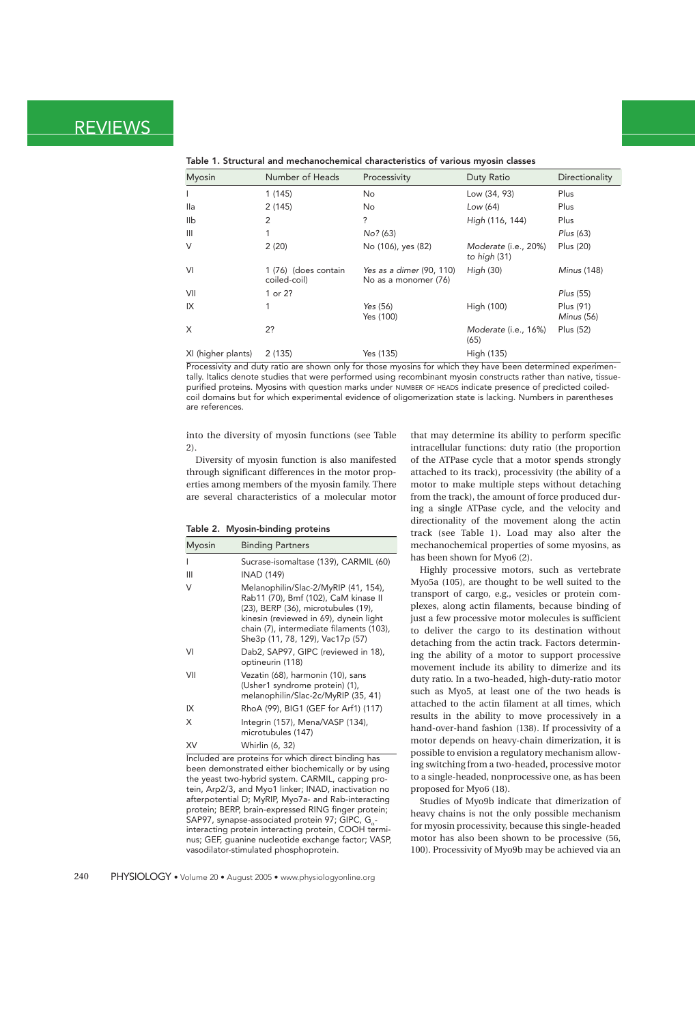| <b>Myosin</b>      | Number of Heads                      | Processivity                                     | Duty Ratio                           | Directionality          |
|--------------------|--------------------------------------|--------------------------------------------------|--------------------------------------|-------------------------|
|                    | 1(145)                               | No                                               | Low (34, 93)                         | Plus                    |
| lla                | 2(145)                               | No.                                              | Low (64)                             | Plus                    |
| llb                | 2                                    | ?                                                | High (116, 144)                      | Plus                    |
| $\mathbf{III}$     |                                      | No? (63)                                         |                                      | Plus (63)               |
| $\vee$             | 2(20)                                | No (106), yes (82)                               | Moderate (i.e., 20%)<br>to high (31) | Plus (20)               |
| VI                 | 1 (76) (does contain<br>coiled-coil) | Yes as a dimer (90, 110)<br>No as a monomer (76) | High $(30)$                          | <b>Minus</b> (148)      |
| VII                | 1 or 2?                              |                                                  |                                      | Plus (55)               |
| IX                 | 1                                    | Yes (56)<br>Yes (100)                            | High (100)                           | Plus (91)<br>Minus (56) |
| X                  | 2?                                   |                                                  | Moderate (i.e., 16%)<br>(65)         | Plus (52)               |
| XI (higher plants) | 2(135)                               | Yes (135)                                        | High (135)                           |                         |

#### **Table 1. Structural and mechanochemical characteristics of various myosin classes**

Processivity and duty ratio are shown only for those myosins for which they have been determined experimentally. Italics denote studies that were performed using recombinant myosin constructs rather than native, tissuepurified proteins. Myosins with question marks under NUMBER OF HEADS indicate presence of predicted coiledcoil domains but for which experimental evidence of oligomerization state is lacking. Numbers in parentheses are references.

into the diversity of myosin functions (see Table 2).

Diversity of myosin function is also manifested through significant differences in the motor properties among members of the myosin family. There are several characteristics of a molecular motor

#### **Table 2. Myosin-binding proteins**

| <b>Myosin</b> | <b>Binding Partners</b>                                                                                                                                                                                                                       |  |
|---------------|-----------------------------------------------------------------------------------------------------------------------------------------------------------------------------------------------------------------------------------------------|--|
|               | Sucrase-isomaltase (139), CARMIL (60)                                                                                                                                                                                                         |  |
| Ш             | INAD (149)                                                                                                                                                                                                                                    |  |
| V             | Melanophilin/Slac-2/MyRIP (41, 154),<br>Rab11 (70), Bmf (102), CaM kinase II<br>(23), BERP (36), microtubules (19),<br>kinesin (reviewed in 69), dynein light<br>chain (7), intermediate filaments (103),<br>She3p (11, 78, 129), Vac17p (57) |  |
| VI            | Dab2, SAP97, GIPC (reviewed in 18),<br>optineurin (118)                                                                                                                                                                                       |  |
| VII           | Vezatin (68), harmonin (10), sans<br>(Usher1 syndrome protein) (1),<br>melanophilin/Slac-2c/MyRIP (35, 41)                                                                                                                                    |  |
| IX            | RhoA (99), BIG1 (GEF for Arf1) (117)                                                                                                                                                                                                          |  |
| X             | Integrin (157), Mena/VASP (134),<br>microtubules (147)                                                                                                                                                                                        |  |
| XV            | Whirlin (6, 32)                                                                                                                                                                                                                               |  |

Included are proteins for which direct binding has been demonstrated either biochemically or by using the yeast two-hybrid system. CARMIL, capping protein, Arp2/3, and Myo1 linker; INAD, inactivation no afterpotential D; MyRIP, Myo7a- and Rab-interacting protein; BERP, brain-expressed RING finger protein; SAP97, synapse-associated protein 97; GIPC, G interacting protein interacting protein, COOH terminus; GEF, guanine nucleotide exchange factor; VASP, vasodilator-stimulated phosphoprotein.

that may determine its ability to perform specific intracellular functions: duty ratio (the proportion of the ATPase cycle that a motor spends strongly attached to its track), processivity (the ability of a motor to make multiple steps without detaching from the track), the amount of force produced during a single ATPase cycle, and the velocity and directionality of the movement along the actin track (see Table 1). Load may also alter the mechanochemical properties of some myosins, as has been shown for Myo6 (2).

Highly processive motors, such as vertebrate Myo5a (105), are thought to be well suited to the transport of cargo, e.g., vesicles or protein complexes, along actin filaments, because binding of just a few processive motor molecules is sufficient to deliver the cargo to its destination without detaching from the actin track. Factors determining the ability of a motor to support processive movement include its ability to dimerize and its duty ratio. In a two-headed, high-duty-ratio motor such as Myo5, at least one of the two heads is attached to the actin filament at all times, which results in the ability to move processively in a hand-over-hand fashion (138). If processivity of a motor depends on heavy-chain dimerization, it is possible to envision a regulatory mechanism allowing switching from a two-headed, processive motor to a single-headed, nonprocessive one, as has been proposed for Myo6 (18).

Studies of Myo9b indicate that dimerization of heavy chains is not the only possible mechanism for myosin processivity, because this single-headed motor has also been shown to be processive (56, 100). Processivity of Myo9b may be achieved via an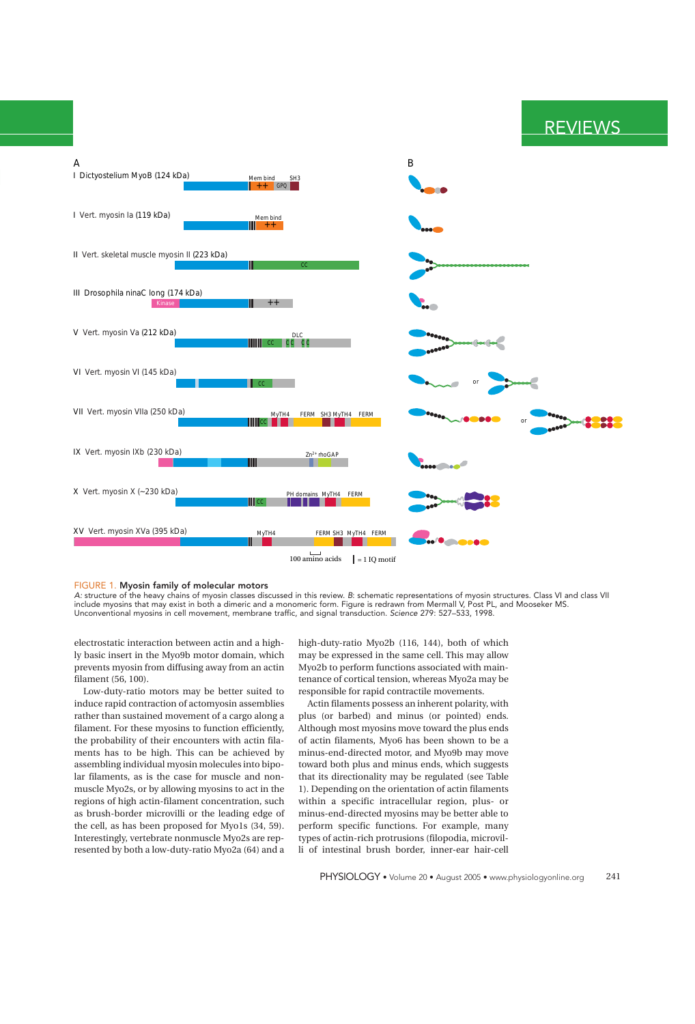



#### FIGURE 1. **Myosin family of molecular motors**

A: structure of the heavy chains of myosin classes discussed in this review. B: schematic representations of myosin structures. Class VI and class VII include myosins that may exist in both a dimeric and a monomeric form. Figure is redrawn from Mermall V, Post PL, and Mooseker MS. Unconventional myosins in cell movement, membrane traffic, and signal transduction. Science 279: 527–533, 1998.

electrostatic interaction between actin and a highly basic insert in the Myo9b motor domain, which prevents myosin from diffusing away from an actin filament (56, 100).

Low-duty-ratio motors may be better suited to induce rapid contraction of actomyosin assemblies rather than sustained movement of a cargo along a filament. For these myosins to function efficiently, the probability of their encounters with actin filaments has to be high. This can be achieved by assembling individual myosin molecules into bipolar filaments, as is the case for muscle and nonmuscle Myo2s, or by allowing myosins to act in the regions of high actin-filament concentration, such as brush-border microvilli or the leading edge of the cell, as has been proposed for Myo1s (34, 59). Interestingly, vertebrate nonmuscle Myo2s are represented by both a low-duty-ratio Myo2a (64) and a

high-duty-ratio Myo2b (116, 144), both of which may be expressed in the same cell. This may allow Myo2b to perform functions associated with maintenance of cortical tension, whereas Myo2a may be responsible for rapid contractile movements.

Actin filaments possess an inherent polarity, with plus (or barbed) and minus (or pointed) ends. Although most myosins move toward the plus ends of actin filaments, Myo6 has been shown to be a minus-end-directed motor, and Myo9b may move toward both plus and minus ends, which suggests that its directionality may be regulated (see Table 1). Depending on the orientation of actin filaments within a specific intracellular region, plus- or minus-end-directed myosins may be better able to perform specific functions. For example, many types of actin-rich protrusions (filopodia, microvilli of intestinal brush border, inner-ear hair-cell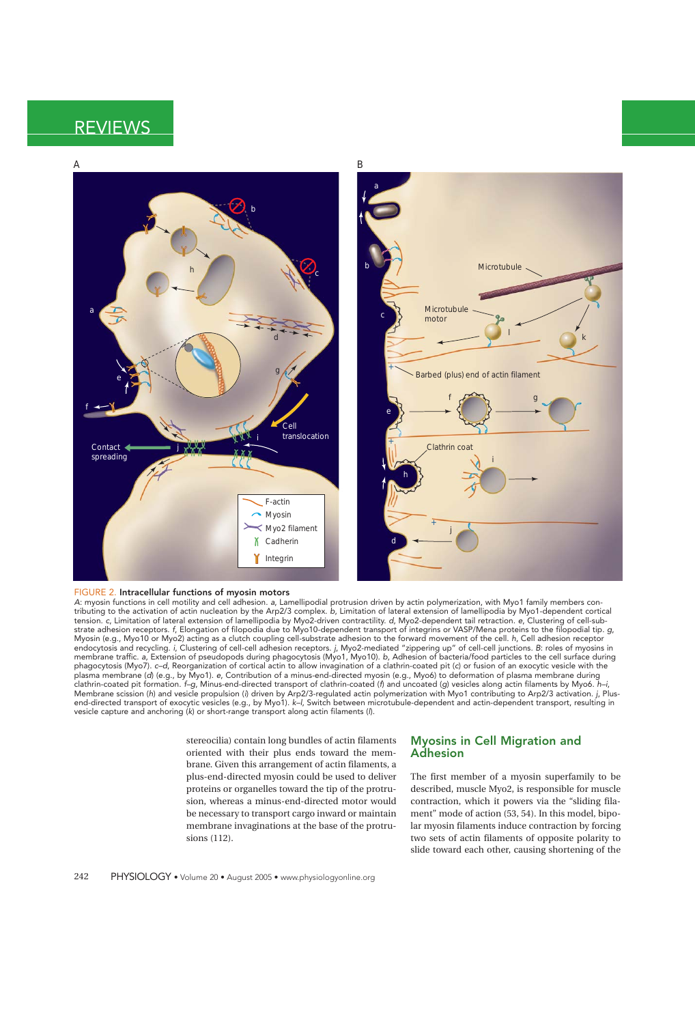

#### FIGURE 2. **Intracellular functions of myosin motors**

A: myosin functions in cell motility and cell adhesion. a, Lamellipodial protrusion driven by actin polymerization, with Myo1 family members contributing to the activation of actin nucleation by the Arp2/3 complex. b, Limitation of lateral extension of lamellipodia by Myo1-dependent cortical tension. c, Limitation of lateral extension of lamellipodia by Myo2-driven contractility. d, Myo2-dependent tail retraction. e, Clustering of cell-substrate adhesion receptors. f, Elongation of filopodia due to Myo10-dependent transport of integrins or VASP/Mena proteins to the filopodial tip. g, Myosin (e.g., Myo10 or Myo2) acting as a clutch coupling cell-substrate adhesion to the forward movement of the cell. h, Cell adhesion receptor endocytosis and recycling. i, Clustering of cell-cell adhesion receptors. j, Myo2-mediated "zippering up" of cell-cell junctions. B: roles of myosins in membrane traffic. a, Extension of pseudopods during phagocytosis (Myo1, Myo10). b, Adhesion of bacteria/food particles to the cell surface during phagocytosis (Myo7). c–d, Reorganization of cortical actin to allow invagination of a clathrin-coated pit (c) or fusion of an exocytic vesicle with the plasma membrane (d) (e.g., by Myo1). e, Contribution of a minus-end-directed myosin (e.g., Myo6) to deformation of plasma membrane during clathrin-coated pit formation. f–g, Minus-end-directed transport of clathrin-coated (f) and uncoated (g) vesicles along actin filaments by Myo6. h–i, Membrane scission (h) and vesicle propulsion (i) driven by Arp2/3-regulated actin polymerization with Myo1 contributing to Arp2/3 activation. j, Plusend-directed transport of exocytic vesicles (e.g., by Myo1). k–l, Switch between microtubule-dependent and actin-dependent transport, resulting in vesicle capture and anchoring (k) or short-range transport along actin filaments (l).

> stereocilia) contain long bundles of actin filaments oriented with their plus ends toward the membrane. Given this arrangement of actin filaments, a plus-end-directed myosin could be used to deliver proteins or organelles toward the tip of the protrusion, whereas a minus-end-directed motor would be necessary to transport cargo inward or maintain membrane invaginations at the base of the protrusions (112).

### **Myosins in Cell Migration and Adhesion**

The first member of a myosin superfamily to be described, muscle Myo2, is responsible for muscle contraction, which it powers via the "sliding filament" mode of action (53, 54). In this model, bipolar myosin filaments induce contraction by forcing two sets of actin filaments of opposite polarity to slide toward each other, causing shortening of the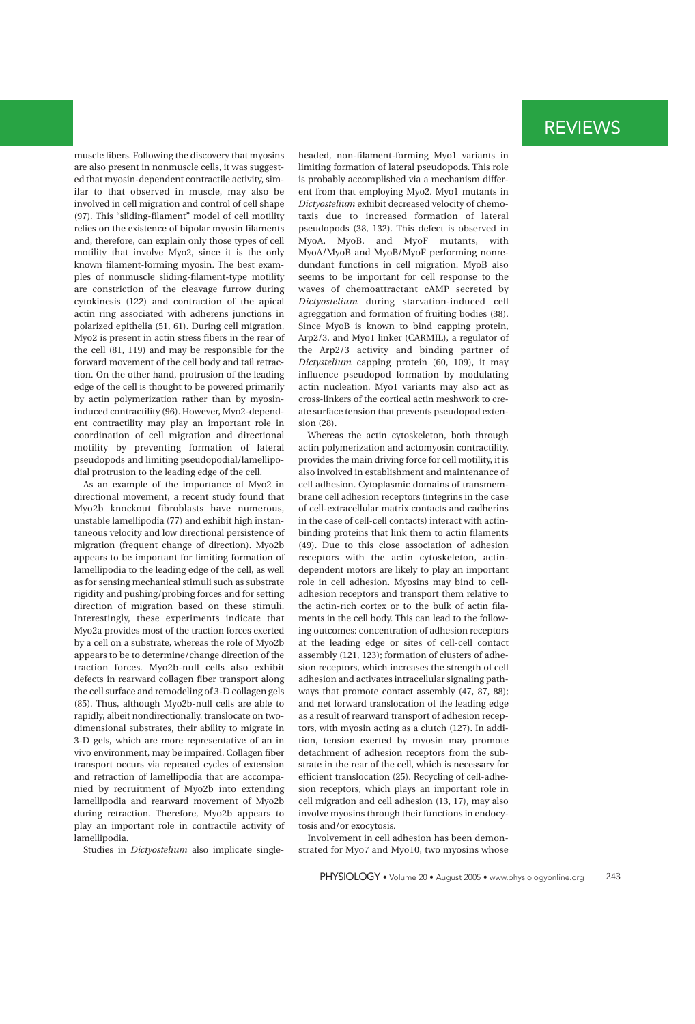muscle fibers. Following the discovery that myosins are also present in nonmuscle cells, it was suggested that myosin-dependent contractile activity, similar to that observed in muscle, may also be involved in cell migration and control of cell shape (97). This "sliding-filament" model of cell motility relies on the existence of bipolar myosin filaments and, therefore, can explain only those types of cell motility that involve Myo2, since it is the only known filament-forming myosin. The best examples of nonmuscle sliding-filament-type motility are constriction of the cleavage furrow during cytokinesis (122) and contraction of the apical actin ring associated with adherens junctions in polarized epithelia (51, 61). During cell migration, Myo2 is present in actin stress fibers in the rear of the cell (81, 119) and may be responsible for the forward movement of the cell body and tail retraction. On the other hand, protrusion of the leading edge of the cell is thought to be powered primarily by actin polymerization rather than by myosininduced contractility (96). However, Myo2-dependent contractility may play an important role in coordination of cell migration and directional motility by preventing formation of lateral pseudopods and limiting pseudopodial/lamellipodial protrusion to the leading edge of the cell.

As an example of the importance of Myo2 in directional movement, a recent study found that Myo2b knockout fibroblasts have numerous, unstable lamellipodia (77) and exhibit high instantaneous velocity and low directional persistence of migration (frequent change of direction). Myo2b appears to be important for limiting formation of lamellipodia to the leading edge of the cell, as well as for sensing mechanical stimuli such as substrate rigidity and pushing/probing forces and for setting direction of migration based on these stimuli. Interestingly, these experiments indicate that Myo2a provides most of the traction forces exerted by a cell on a substrate, whereas the role of Myo2b appears to be to determine/change direction of the traction forces. Myo2b-null cells also exhibit defects in rearward collagen fiber transport along the cell surface and remodeling of 3-D collagen gels (85). Thus, although Myo2b-null cells are able to rapidly, albeit nondirectionally, translocate on twodimensional substrates, their ability to migrate in 3-D gels, which are more representative of an in vivo environment, may be impaired. Collagen fiber transport occurs via repeated cycles of extension and retraction of lamellipodia that are accompanied by recruitment of Myo2b into extending lamellipodia and rearward movement of Myo2b during retraction. Therefore, Myo2b appears to play an important role in contractile activity of lamellipodia.

Studies in *Dictyostelium* also implicate single-

headed, non-filament-forming Myo1 variants in limiting formation of lateral pseudopods. This role is probably accomplished via a mechanism different from that employing Myo2. Myo1 mutants in *Dictyostelium* exhibit decreased velocity of chemotaxis due to increased formation of lateral pseudopods (38, 132). This defect is observed in MyoA, MyoB, and MyoF mutants, with MyoA/MyoB and MyoB/MyoF performing nonredundant functions in cell migration. MyoB also seems to be important for cell response to the waves of chemoattractant cAMP secreted by *Dictyostelium* during starvation-induced cell agreggation and formation of fruiting bodies (38). Since MyoB is known to bind capping protein, Arp2/3, and Myo1 linker (CARMIL), a regulator of the Arp2/3 activity and binding partner of *Dictystelium* capping protein (60, 109), it may influence pseudopod formation by modulating actin nucleation. Myo1 variants may also act as cross-linkers of the cortical actin meshwork to create surface tension that prevents pseudopod extension (28).

Whereas the actin cytoskeleton, both through actin polymerization and actomyosin contractility, provides the main driving force for cell motility, it is also involved in establishment and maintenance of cell adhesion. Cytoplasmic domains of transmembrane cell adhesion receptors (integrins in the case of cell-extracellular matrix contacts and cadherins in the case of cell-cell contacts) interact with actinbinding proteins that link them to actin filaments (49). Due to this close association of adhesion receptors with the actin cytoskeleton, actindependent motors are likely to play an important role in cell adhesion. Myosins may bind to celladhesion receptors and transport them relative to the actin-rich cortex or to the bulk of actin filaments in the cell body. This can lead to the following outcomes: concentration of adhesion receptors at the leading edge or sites of cell-cell contact assembly (121, 123); formation of clusters of adhesion receptors, which increases the strength of cell adhesion and activates intracellular signaling pathways that promote contact assembly (47, 87, 88); and net forward translocation of the leading edge as a result of rearward transport of adhesion receptors, with myosin acting as a clutch (127). In addition, tension exerted by myosin may promote detachment of adhesion receptors from the substrate in the rear of the cell, which is necessary for efficient translocation (25). Recycling of cell-adhesion receptors, which plays an important role in cell migration and cell adhesion (13, 17), may also involve myosins through their functions in endocytosis and/or exocytosis.

Involvement in cell adhesion has been demonstrated for Myo7 and Myo10, two myosins whose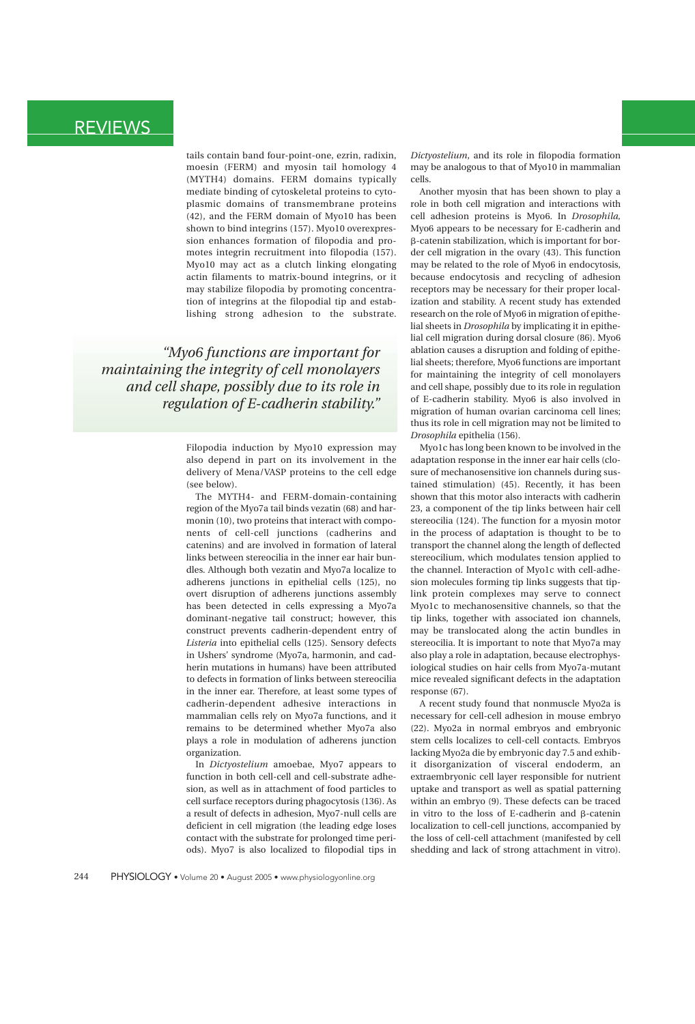tails contain band four-point-one, ezrin, radixin, moesin (FERM) and myosin tail homology 4 (MYTH4) domains. FERM domains typically mediate binding of cytoskeletal proteins to cytoplasmic domains of transmembrane proteins (42), and the FERM domain of Myo10 has been shown to bind integrins (157). Myo10 overexpression enhances formation of filopodia and promotes integrin recruitment into filopodia (157). Myo10 may act as a clutch linking elongating actin filaments to matrix-bound integrins, or it may stabilize filopodia by promoting concentration of integrins at the filopodial tip and establishing strong adhesion to the substrate.

*"Myo6 functions are important for maintaining the integrity of cell monolayers and cell shape, possibly due to its role in regulation of E-cadherin stability."*

> Filopodia induction by Myo10 expression may also depend in part on its involvement in the delivery of Mena/VASP proteins to the cell edge (see below).

> The MYTH4- and FERM-domain-containing region of the Myo7a tail binds vezatin (68) and harmonin (10), two proteins that interact with components of cell-cell junctions (cadherins and catenins) and are involved in formation of lateral links between stereocilia in the inner ear hair bundles. Although both vezatin and Myo7a localize to adherens junctions in epithelial cells (125), no overt disruption of adherens junctions assembly has been detected in cells expressing a Myo7a dominant-negative tail construct; however, this construct prevents cadherin-dependent entry of *Listeria* into epithelial cells (125). Sensory defects in Ushers' syndrome (Myo7a, harmonin, and cadherin mutations in humans) have been attributed to defects in formation of links between stereocilia in the inner ear. Therefore, at least some types of cadherin-dependent adhesive interactions in mammalian cells rely on Myo7a functions, and it remains to be determined whether Myo7a also plays a role in modulation of adherens junction organization.

> In *Dictyostelium* amoebae, Myo7 appears to function in both cell-cell and cell-substrate adhesion, as well as in attachment of food particles to cell surface receptors during phagocytosis (136). As a result of defects in adhesion, Myo7-null cells are deficient in cell migration (the leading edge loses contact with the substrate for prolonged time periods). Myo7 is also localized to filopodial tips in

*Dictyostelium*, and its role in filopodia formation may be analogous to that of Myo10 in mammalian cells.

Another myosin that has been shown to play a role in both cell migration and interactions with cell adhesion proteins is Myo6. In *Drosophila,* Myo6 appears to be necessary for E-cadherin and -catenin stabilization, which is important for border cell migration in the ovary (43). This function may be related to the role of Myo6 in endocytosis, because endocytosis and recycling of adhesion receptors may be necessary for their proper localization and stability. A recent study has extended research on the role of Myo6 in migration of epithelial sheets in *Drosophila* by implicating it in epithelial cell migration during dorsal closure (86). Myo6 ablation causes a disruption and folding of epithelial sheets; therefore, Myo6 functions are important for maintaining the integrity of cell monolayers and cell shape, possibly due to its role in regulation of E-cadherin stability. Myo6 is also involved in migration of human ovarian carcinoma cell lines; thus its role in cell migration may not be limited to *Drosophila* epithelia (156).

Myo1c has long been known to be involved in the adaptation response in the inner ear hair cells (closure of mechanosensitive ion channels during sustained stimulation) (45). Recently, it has been shown that this motor also interacts with cadherin 23, a component of the tip links between hair cell stereocilia (124). The function for a myosin motor in the process of adaptation is thought to be to transport the channel along the length of deflected stereocilium, which modulates tension applied to the channel. Interaction of Myo1c with cell-adhesion molecules forming tip links suggests that tiplink protein complexes may serve to connect Myo1c to mechanosensitive channels, so that the tip links, together with associated ion channels, may be translocated along the actin bundles in stereocilia. It is important to note that Myo7a may also play a role in adaptation, because electrophysiological studies on hair cells from Myo7a-mutant mice revealed significant defects in the adaptation response (67).

A recent study found that nonmuscle Myo2a is necessary for cell-cell adhesion in mouse embryo (22). Myo2a in normal embryos and embryonic stem cells localizes to cell-cell contacts. Embryos lacking Myo2a die by embryonic day 7.5 and exhibit disorganization of visceral endoderm, an extraembryonic cell layer responsible for nutrient uptake and transport as well as spatial patterning within an embryo (9). These defects can be traced in vitro to the loss of E-cadherin and  $\beta$ -catenin localization to cell-cell junctions, accompanied by the loss of cell-cell attachment (manifested by cell shedding and lack of strong attachment in vitro).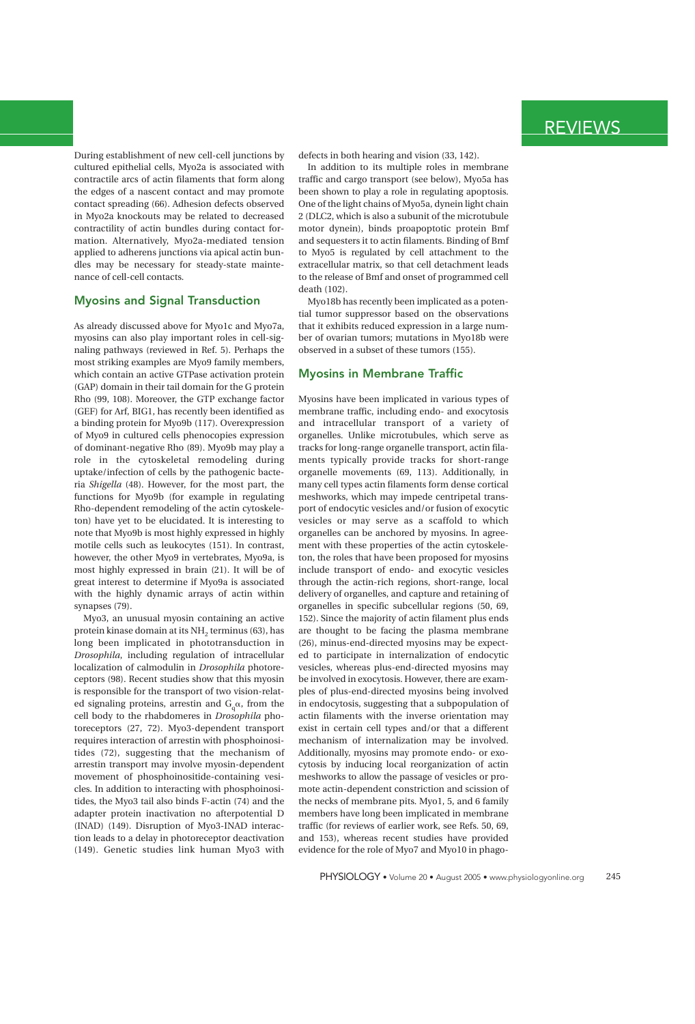During establishment of new cell-cell junctions by cultured epithelial cells, Myo2a is associated with contractile arcs of actin filaments that form along the edges of a nascent contact and may promote contact spreading (66). Adhesion defects observed in Myo2a knockouts may be related to decreased contractility of actin bundles during contact formation. Alternatively, Myo2a-mediated tension applied to adherens junctions via apical actin bundles may be necessary for steady-state maintenance of cell-cell contacts.

### **Myosins and Signal Transduction**

As already discussed above for Myo1c and Myo7a, myosins can also play important roles in cell-signaling pathways (reviewed in Ref. 5). Perhaps the most striking examples are Myo9 family members, which contain an active GTPase activation protein (GAP) domain in their tail domain for the G protein Rho (99, 108). Moreover, the GTP exchange factor (GEF) for Arf, BIG1, has recently been identified as a binding protein for Myo9b (117). Overexpression of Myo9 in cultured cells phenocopies expression of dominant-negative Rho (89). Myo9b may play a role in the cytoskeletal remodeling during uptake/infection of cells by the pathogenic bacteria *Shigella* (48). However, for the most part, the functions for Myo9b (for example in regulating Rho-dependent remodeling of the actin cytoskeleton) have yet to be elucidated. It is interesting to note that Myo9b is most highly expressed in highly motile cells such as leukocytes (151). In contrast, however, the other Myo9 in vertebrates, Myo9a, is most highly expressed in brain (21). It will be of great interest to determine if Myo9a is associated with the highly dynamic arrays of actin within synapses (79).

Myo3, an unusual myosin containing an active protein kinase domain at its NH<sub>2</sub> terminus (63), has long been implicated in phototransduction in *Drosophila*, including regulation of intracellular localization of calmodulin in *Drosophila* photoreceptors (98). Recent studies show that this myosin is responsible for the transport of two vision-related signaling proteins, arrestin and  $G_a\alpha$ , from the cell body to the rhabdomeres in *Drosophila* photoreceptors (27, 72). Myo3-dependent transport requires interaction of arrestin with phosphoinositides (72), suggesting that the mechanism of arrestin transport may involve myosin-dependent movement of phosphoinositide-containing vesicles. In addition to interacting with phosphoinositides, the Myo3 tail also binds F-actin (74) and the adapter protein inactivation no afterpotential D (INAD) (149). Disruption of Myo3-INAD interaction leads to a delay in photoreceptor deactivation (149). Genetic studies link human Myo3 with defects in both hearing and vision (33, 142).

In addition to its multiple roles in membrane traffic and cargo transport (see below), Myo5a has been shown to play a role in regulating apoptosis. One of the light chains of Myo5a, dynein light chain 2 (DLC2, which is also a subunit of the microtubule motor dynein), binds proapoptotic protein Bmf and sequesters it to actin filaments. Binding of Bmf to Myo5 is regulated by cell attachment to the extracellular matrix, so that cell detachment leads to the release of Bmf and onset of programmed cell death (102).

Myo18b has recently been implicated as a potential tumor suppressor based on the observations that it exhibits reduced expression in a large number of ovarian tumors; mutations in Myo18b were observed in a subset of these tumors (155).

### **Myosins in Membrane Traffic**

Myosins have been implicated in various types of membrane traffic, including endo- and exocytosis and intracellular transport of a variety of organelles. Unlike microtubules, which serve as tracks for long-range organelle transport, actin filaments typically provide tracks for short-range organelle movements (69, 113). Additionally, in many cell types actin filaments form dense cortical meshworks, which may impede centripetal transport of endocytic vesicles and/or fusion of exocytic vesicles or may serve as a scaffold to which organelles can be anchored by myosins. In agreement with these properties of the actin cytoskeleton, the roles that have been proposed for myosins include transport of endo- and exocytic vesicles through the actin-rich regions, short-range, local delivery of organelles, and capture and retaining of organelles in specific subcellular regions (50, 69, 152). Since the majority of actin filament plus ends are thought to be facing the plasma membrane (26), minus-end-directed myosins may be expected to participate in internalization of endocytic vesicles, whereas plus-end-directed myosins may be involved in exocytosis. However, there are examples of plus-end-directed myosins being involved in endocytosis, suggesting that a subpopulation of actin filaments with the inverse orientation may exist in certain cell types and/or that a different mechanism of internalization may be involved. Additionally, myosins may promote endo- or exocytosis by inducing local reorganization of actin meshworks to allow the passage of vesicles or promote actin-dependent constriction and scission of the necks of membrane pits. Myo1, 5, and 6 family members have long been implicated in membrane traffic (for reviews of earlier work, see Refs. 50, 69, and 153), whereas recent studies have provided evidence for the role of Myo7 and Myo10 in phago-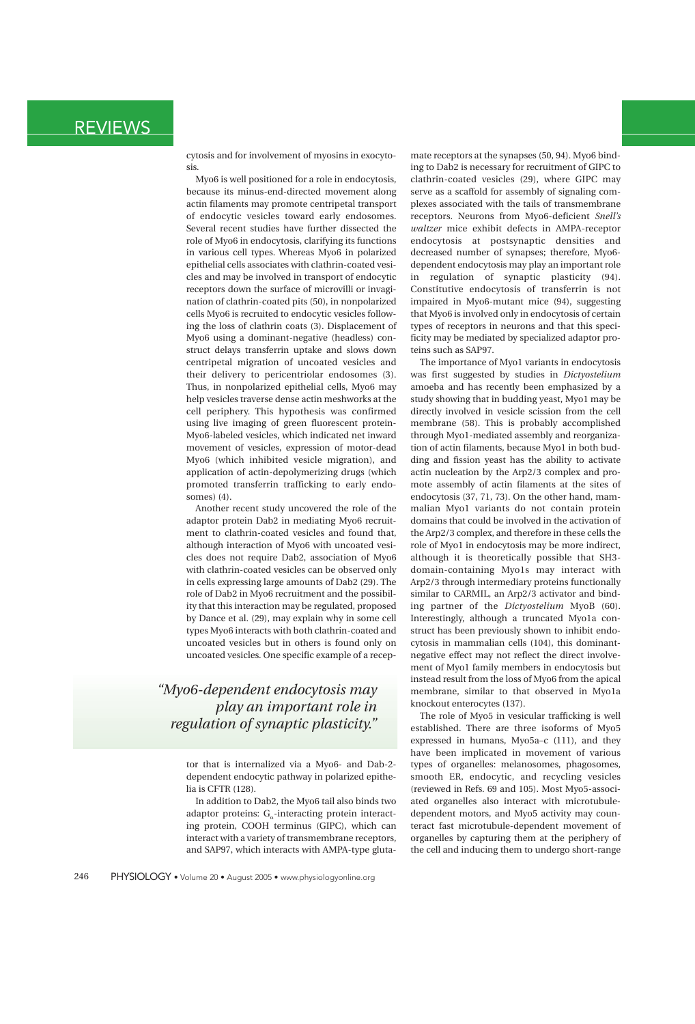cytosis and for involvement of myosins in exocytosis.

Myo6 is well positioned for a role in endocytosis, because its minus-end-directed movement along actin filaments may promote centripetal transport of endocytic vesicles toward early endosomes. Several recent studies have further dissected the role of Myo6 in endocytosis, clarifying its functions in various cell types. Whereas Myo6 in polarized epithelial cells associates with clathrin-coated vesicles and may be involved in transport of endocytic receptors down the surface of microvilli or invagination of clathrin-coated pits (50), in nonpolarized cells Myo6 is recruited to endocytic vesicles following the loss of clathrin coats (3). Displacement of Myo6 using a dominant-negative (headless) construct delays transferrin uptake and slows down centripetal migration of uncoated vesicles and their delivery to pericentriolar endosomes (3). Thus, in nonpolarized epithelial cells, Myo6 may help vesicles traverse dense actin meshworks at the cell periphery. This hypothesis was confirmed using live imaging of green fluorescent protein-Myo6-labeled vesicles, which indicated net inward movement of vesicles, expression of motor-dead Myo6 (which inhibited vesicle migration), and application of actin-depolymerizing drugs (which promoted transferrin trafficking to early endosomes) (4).

Another recent study uncovered the role of the adaptor protein Dab2 in mediating Myo6 recruitment to clathrin-coated vesicles and found that, although interaction of Myo6 with uncoated vesicles does not require Dab2, association of Myo6 with clathrin-coated vesicles can be observed only in cells expressing large amounts of Dab2 (29). The role of Dab2 in Myo6 recruitment and the possibility that this interaction may be regulated, proposed by Dance et al. (29), may explain why in some cell types Myo6 interacts with both clathrin-coated and uncoated vesicles but in others is found only on uncoated vesicles. One specific example of a recep-

### *"Myo6-dependent endocytosis may play an important role in regulation of synaptic plasticity."*

tor that is internalized via a Myo6- and Dab-2 dependent endocytic pathway in polarized epithelia is CFTR (128).

In addition to Dab2, the Myo6 tail also binds two adaptor proteins:  $G_{\alpha}$ -interacting protein interacting protein, COOH terminus (GIPC), which can interact with a variety of transmembrane receptors, and SAP97, which interacts with AMPA-type glutamate receptors at the synapses (50, 94). Myo6 binding to Dab2 is necessary for recruitment of GIPC to clathrin-coated vesicles (29), where GIPC may serve as a scaffold for assembly of signaling complexes associated with the tails of transmembrane receptors. Neurons from Myo6-deficient *Snell's waltzer* mice exhibit defects in AMPA-receptor endocytosis at postsynaptic densities and decreased number of synapses; therefore, Myo6 dependent endocytosis may play an important role in regulation of synaptic plasticity (94). Constitutive endocytosis of transferrin is not impaired in Myo6-mutant mice (94), suggesting that Myo6 is involved only in endocytosis of certain types of receptors in neurons and that this specificity may be mediated by specialized adaptor proteins such as SAP97.

The importance of Myo1 variants in endocytosis was first suggested by studies in *Dictyostelium* amoeba and has recently been emphasized by a study showing that in budding yeast, Myo1 may be directly involved in vesicle scission from the cell membrane (58). This is probably accomplished through Myo1-mediated assembly and reorganization of actin filaments, because Myo1 in both budding and fission yeast has the ability to activate actin nucleation by the Arp2/3 complex and promote assembly of actin filaments at the sites of endocytosis (37, 71, 73). On the other hand, mammalian Myo1 variants do not contain protein domains that could be involved in the activation of the Arp2/3 complex, and therefore in these cells the role of Myo1 in endocytosis may be more indirect, although it is theoretically possible that SH3 domain-containing Myo1s may interact with Arp2/3 through intermediary proteins functionally similar to CARMIL, an Arp2/3 activator and binding partner of the *Dictyostelium* MyoB (60). Interestingly, although a truncated Myo1a construct has been previously shown to inhibit endocytosis in mammalian cells (104), this dominantnegative effect may not reflect the direct involvement of Myo1 family members in endocytosis but instead result from the loss of Myo6 from the apical membrane, similar to that observed in Myo1a knockout enterocytes (137).

The role of Myo5 in vesicular trafficking is well established. There are three isoforms of Myo5 expressed in humans, Myo5a–c (111), and they have been implicated in movement of various types of organelles: melanosomes, phagosomes, smooth ER, endocytic, and recycling vesicles (reviewed in Refs. 69 and 105). Most Myo5-associated organelles also interact with microtubuledependent motors, and Myo5 activity may counteract fast microtubule-dependent movement of organelles by capturing them at the periphery of the cell and inducing them to undergo short-range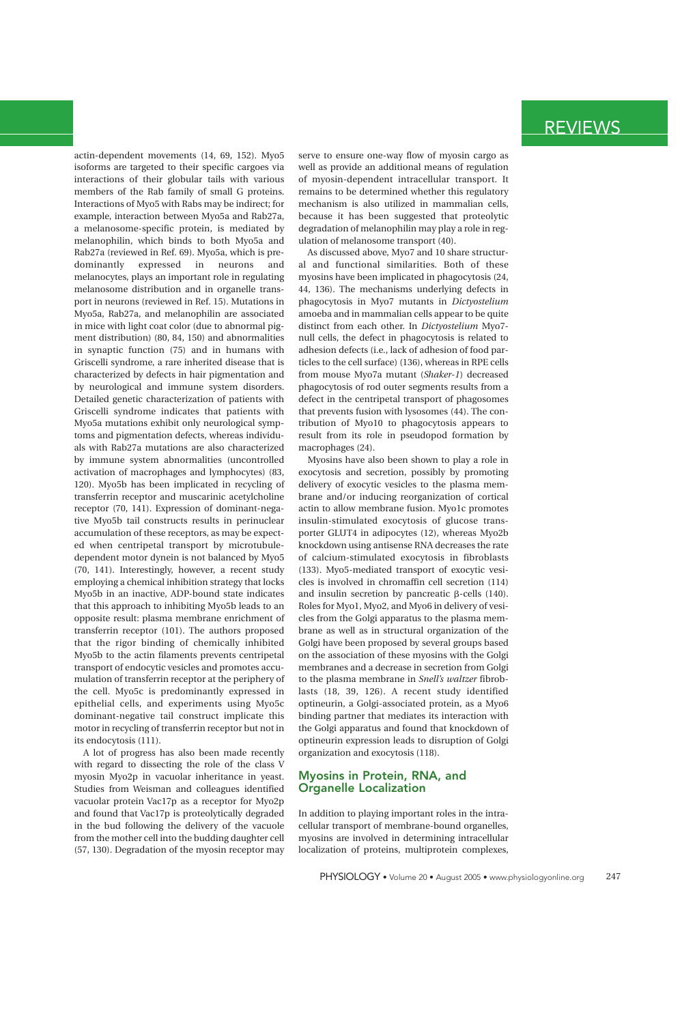actin-dependent movements (14, 69, 152). Myo5 isoforms are targeted to their specific cargoes via interactions of their globular tails with various members of the Rab family of small G proteins. Interactions of Myo5 with Rabs may be indirect; for example, interaction between Myo5a and Rab27a, a melanosome-specific protein, is mediated by melanophilin, which binds to both Myo5a and Rab27a (reviewed in Ref. 69). Myo5a, which is predominantly expressed in neurons and melanocytes, plays an important role in regulating melanosome distribution and in organelle transport in neurons (reviewed in Ref. 15). Mutations in Myo5a, Rab27a, and melanophilin are associated in mice with light coat color (due to abnormal pigment distribution) (80, 84, 150) and abnormalities in synaptic function (75) and in humans with Griscelli syndrome, a rare inherited disease that is characterized by defects in hair pigmentation and by neurological and immune system disorders. Detailed genetic characterization of patients with Griscelli syndrome indicates that patients with Myo5a mutations exhibit only neurological symptoms and pigmentation defects, whereas individuals with Rab27a mutations are also characterized by immune system abnormalities (uncontrolled activation of macrophages and lymphocytes) (83, 120). Myo5b has been implicated in recycling of transferrin receptor and muscarinic acetylcholine receptor (70, 141). Expression of dominant-negative Myo5b tail constructs results in perinuclear accumulation of these receptors, as may be expected when centripetal transport by microtubuledependent motor dynein is not balanced by Myo5 (70, 141). Interestingly, however, a recent study employing a chemical inhibition strategy that locks Myo5b in an inactive, ADP-bound state indicates that this approach to inhibiting Myo5b leads to an opposite result: plasma membrane enrichment of transferrin receptor (101). The authors proposed that the rigor binding of chemically inhibited Myo5b to the actin filaments prevents centripetal transport of endocytic vesicles and promotes accumulation of transferrin receptor at the periphery of the cell. Myo5c is predominantly expressed in epithelial cells, and experiments using Myo5c dominant-negative tail construct implicate this motor in recycling of transferrin receptor but not in its endocytosis (111).

A lot of progress has also been made recently with regard to dissecting the role of the class V myosin Myo2p in vacuolar inheritance in yeast. Studies from Weisman and colleagues identified vacuolar protein Vac17p as a receptor for Myo2p and found that Vac17p is proteolytically degraded in the bud following the delivery of the vacuole from the mother cell into the budding daughter cell (57, 130). Degradation of the myosin receptor may

serve to ensure one-way flow of myosin cargo as well as provide an additional means of regulation of myosin-dependent intracellular transport. It remains to be determined whether this regulatory mechanism is also utilized in mammalian cells, because it has been suggested that proteolytic degradation of melanophilin may play a role in regulation of melanosome transport (40).

As discussed above, Myo7 and 10 share structural and functional similarities. Both of these myosins have been implicated in phagocytosis (24, 44, 136). The mechanisms underlying defects in phagocytosis in Myo7 mutants in *Dictyostelium* amoeba and in mammalian cells appear to be quite distinct from each other. In *Dictyostelium* Myo7 null cells, the defect in phagocytosis is related to adhesion defects (i.e., lack of adhesion of food particles to the cell surface) (136), whereas in RPE cells from mouse Myo7a mutant (*Shaker-1*) decreased phagocytosis of rod outer segments results from a defect in the centripetal transport of phagosomes that prevents fusion with lysosomes (44). The contribution of Myo10 to phagocytosis appears to result from its role in pseudopod formation by macrophages (24).

Myosins have also been shown to play a role in exocytosis and secretion, possibly by promoting delivery of exocytic vesicles to the plasma membrane and/or inducing reorganization of cortical actin to allow membrane fusion. Myo1c promotes insulin-stimulated exocytosis of glucose transporter GLUT4 in adipocytes (12), whereas Myo2b knockdown using antisense RNA decreases the rate of calcium-stimulated exocytosis in fibroblasts (133). Myo5-mediated transport of exocytic vesicles is involved in chromaffin cell secretion (114) and insulin secretion by pancreatic  $\beta$ -cells (140). Roles for Myo1, Myo2, and Myo6 in delivery of vesicles from the Golgi apparatus to the plasma membrane as well as in structural organization of the Golgi have been proposed by several groups based on the association of these myosins with the Golgi membranes and a decrease in secretion from Golgi to the plasma membrane in *Snell's waltzer* fibroblasts (18, 39, 126). A recent study identified optineurin, a Golgi-associated protein, as a Myo6 binding partner that mediates its interaction with the Golgi apparatus and found that knockdown of optineurin expression leads to disruption of Golgi organization and exocytosis (118).

### **Myosins in Protein, RNA, and Organelle Localization**

In addition to playing important roles in the intracellular transport of membrane-bound organelles, myosins are involved in determining intracellular localization of proteins, multiprotein complexes,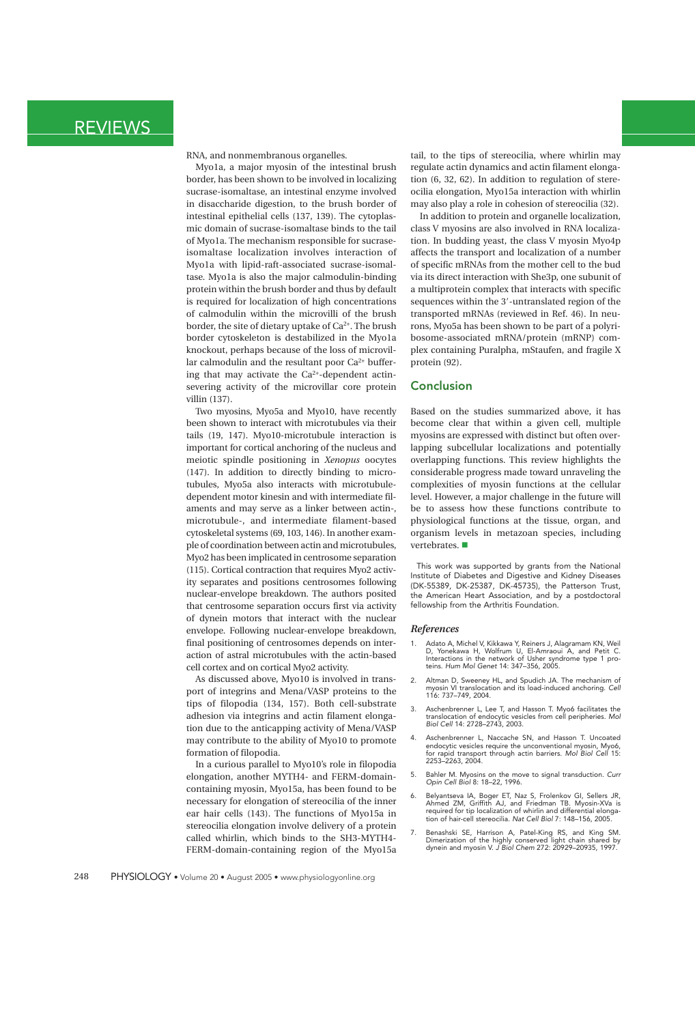RNA, and nonmembranous organelles.

Myo1a, a major myosin of the intestinal brush border, has been shown to be involved in localizing sucrase-isomaltase, an intestinal enzyme involved in disaccharide digestion, to the brush border of intestinal epithelial cells (137, 139). The cytoplasmic domain of sucrase-isomaltase binds to the tail of Myo1a. The mechanism responsible for sucraseisomaltase localization involves interaction of Myo1a with lipid-raft-associated sucrase-isomaltase. Myo1a is also the major calmodulin-binding protein within the brush border and thus by default is required for localization of high concentrations of calmodulin within the microvilli of the brush border, the site of dietary uptake of Ca<sup>2+</sup>. The brush border cytoskeleton is destabilized in the Myo1a knockout, perhaps because of the loss of microvillar calmodulin and the resultant poor  $Ca^{2+}$  buffering that may activate the  $Ca<sup>2+</sup>$ -dependent actinsevering activity of the microvillar core protein villin (137).

Two myosins, Myo5a and Myo10, have recently been shown to interact with microtubules via their tails (19, 147). Myo10-microtubule interaction is important for cortical anchoring of the nucleus and meiotic spindle positioning in *Xenopus* oocytes (147). In addition to directly binding to microtubules, Myo5a also interacts with microtubuledependent motor kinesin and with intermediate filaments and may serve as a linker between actin-, microtubule-, and intermediate filament-based cytoskeletal systems (69, 103, 146). In another example of coordination between actin and microtubules, Myo2 has been implicated in centrosome separation (115). Cortical contraction that requires Myo2 activity separates and positions centrosomes following nuclear-envelope breakdown. The authors posited that centrosome separation occurs first via activity of dynein motors that interact with the nuclear envelope. Following nuclear-envelope breakdown, final positioning of centrosomes depends on interaction of astral microtubules with the actin-based cell cortex and on cortical Myo2 activity.

As discussed above, Myo10 is involved in transport of integrins and Mena/VASP proteins to the tips of filopodia (134, 157). Both cell-substrate adhesion via integrins and actin filament elongation due to the anticapping activity of Mena/VASP may contribute to the ability of Myo10 to promote formation of filopodia.

In a curious parallel to Myo10's role in filopodia elongation, another MYTH4- and FERM-domaincontaining myosin, Myo15a, has been found to be necessary for elongation of stereocilia of the inner ear hair cells (143). The functions of Myo15a in stereocilia elongation involve delivery of a protein called whirlin, which binds to the SH3-MYTH4- FERM-domain-containing region of the Myo15a tail, to the tips of stereocilia, where whirlin may regulate actin dynamics and actin filament elongation (6, 32, 62). In addition to regulation of stereocilia elongation, Myo15a interaction with whirlin may also play a role in cohesion of stereocilia (32).

In addition to protein and organelle localization, class V myosins are also involved in RNA localization. In budding yeast, the class V myosin Myo4p affects the transport and localization of a number of specific mRNAs from the mother cell to the bud via its direct interaction with She3p, one subunit of a multiprotein complex that interacts with specific sequences within the 3'-untranslated region of the transported mRNAs (reviewed in Ref. 46). In neurons, Myo5a has been shown to be part of a polyribosome-associated mRNA/protein (mRNP) complex containing Puralpha, mStaufen, and fragile X protein (92).

### **Conclusion**

Based on the studies summarized above, it has become clear that within a given cell, multiple myosins are expressed with distinct but often overlapping subcellular localizations and potentially overlapping functions. This review highlights the considerable progress made toward unraveling the complexities of myosin functions at the cellular level. However, a major challenge in the future will be to assess how these functions contribute to physiological functions at the tissue, organ, and organism levels in metazoan species, including vertebrates.

This work was supported by grants from the National Institute of Diabetes and Digestive and Kidney Diseases (DK-55389, DK-25387, DK-45735), the Patterson Trust, the American Heart Association, and by a postdoctoral fellowship from the Arthritis Foundation.

#### *References*

- 1. Adato A, Michel V, Kikkawa Y, Reiners J, Alagramam KN, Weil D, Yonekawa H, Wolfrum U, El-Amraoui A, and Petit C. Interactions in the network of Usher syndrome type 1 pro-teins. Hum Mol Genet 14: 347–356, 2005.
- 2. Altman D, Sweeney HL, and Spudich JA. The mechanism of vosin VI translocation and its load-induced anchoring. Cell myosin VI transiocul.<br>116: 737–749, 2004.
- 3. Aschenbrenner L, Lee T, and Hasson T. Myo6 facilitates the translocation of endocytic vesicles from cell peripheries. Mol Biol Cell 14: 2728–2743, 2003.
- 4. Aschenbrenner L, Naccache SN, and Hasson T. Uncoated endocytic vesicles require the unconventional myosin, Myo6, for rapid transport through actin barriers. Mol Biol Cell 15: 2253–2263, 2004.
- 5. Bahler M. Myosins on the move to signal transduction. Curr Opin Cell Biol 8: 18–22, 1996.
- 6. Belyantseva IA, Boger ET, Naz S, Frolenkov GI, Sellers JR,<br>Ahmed ZM, Griffith AJ, and Friedman TB. Myosin-XVa is<br>required for tip localization of whirlin and differential elonga-<br>tion of hair-cell stereocilia. Nat Cell
- 7. Benashski SE, Harrison A, Patel-King RS, and King SM. Dimerization of the highly conserved light chain shared by dynein and myosin V. J Biol Chem 272: 20929–20935, 1997.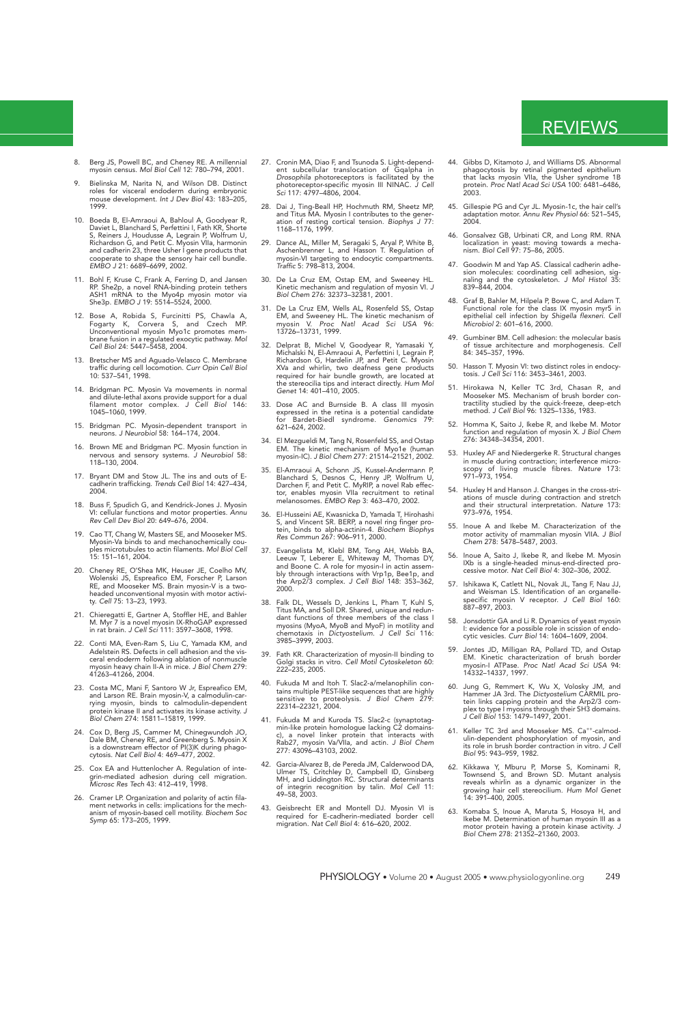- 8. Berg JS, Powell BC, and Cheney RE. A millennial myosin census. Mol Biol Cell 12: 780–794, 2001.
- 9. Bielinska M, Narita N, and Wilson DB. Distinct roles for visceral endoderm during embryonic mouse development. Int J Dev Biol 43: 183–205, 1999.
- 10. Boeda B, El-Amraoui A, Bahloul A, Goodyear R, Daviet L, Blanchard S, Perfettini I, Fath KR, Shorte<br>S, Reiners J, Houdusse A, Legrain P, Wolfrum U,<br>Richardson G, and Petit C. Myosin VIIa, harmonin<br>and cadherin 23, three
- 11. Bohl F, Kruse C, Frank A, Ferring D, and Jansen RP. She2p, a novel RNA-binding protein tethers ASH1 mRNA to the Myo4p myosin motor via She3p. EMBO J 19: 5514–5524, 2000.
- 12. Bose A, Robida S, Furcinitti PS, Chawla A, Fogarty K, Corvera S, and Czech MP. Unconventional myosin Myo1c promotes membrane fusion in a regulated exocytic pathway. Mol Cell Biol 24: 5447–5458, 2004.
- 13. Bretscher MS and Aguado-Velasco C. Membrane traffic during cell locomotion. Curr Opin Cell Biol 10: 537–541, 1998.
- 14. Bridgman PC. Myosin Va movements in normal and dilute-lethal axons provide support for a dual filament motor complex. J Cell Biol 146: 1045–1060, 1999.
- 15. Bridgman PC. Myosin-dependent transport in neurons. J Neurobiol 58: 164–174, 2004.
- 16. Brown ME and Bridgman PC. Myosin function in nervous and sensory systems. J Neurobiol 58: 118–130, 2004.
- 17. Bryant DM and Stow JL. The ins and outs of Ecadherin trafficking. Trends Cell Biol 14: 427–434, 2004.
- 18. Buss F, Spudich G, and Kendrick-Jones J. Myosin VI: cellular functions and motor properties. Annu Rev Cell Dev Biol 20: 649–676, 2004.
- 19. Cao TT, Chang W, Masters SE, and Mooseker MS. Myosin-Va binds to and mechanochemically cou-ples microtubules to actin filaments. Mol Biol Cell 15: 151–161, 2004.
- 20. Cheney RE, O'Shea MK, Heuser JE, Coelho MV, Wolenski JS, Espreafico EM, Forscher P, Larson RE, and Mooseker MS. Brain myosin-V is a two-headed unconventional myosin with motor activi-ty. Cell 75: 13–23, 1993.
- 21. Chieregatti E, Gartner A, Stoffler HE, and Bahler M. Myr 7 is a novel myosin IX-RhoGAP expressed in rat brain. J Cell Sci 111: 3597–3608, 1998.
- 22. Conti MA, Even-Ram S, Liu C, Yamada KM, and Adelstein RS. Defects in cell adhesion and the vis-ceral endoderm following ablation of nonmuscle myosin heavy chain II-A in mice. J Biol Chem 279: 41263–41266, 2004.
- 23. Costa MC, Mani F, Santoro W Jr, Espreafico EM,<br>and Larson RE. Brain myosin-V, a calmodulin-car-<br>rying myosin, binds to calmodulin-dependent<br>protein kinase II and activates its kinase activity. J Biol Chem 274: 15811–15819, 1999.
- 24. Cox D, Berg JS, Cammer M, Chinegwundoh JO, Dale BM, Cheney RE, and Greenberg S. Myosin X is a downstream effector of PI(3)K during phago-cytosis. Nat Cell Biol 4: 469–477, 2002.
- 25. Cox EA and Huttenlocher A. Regulation of inte-<br>grin-mediated adhesion during cell migration. grin-mediated adhesion during cell migration. Microsc Res Tech 43: 412–419, 1998.
- 26. Cramer LP. Organization and polarity of actin fila-ment networks in cells: implications for the mech-anism of myosin-based cell motility. Biochem Soc Symp 65: 173–205, 1999.
- 27. Cronin MA, Diao F, and Tsunoda S. Light-depend-ent subcellular translocation of Gqalpha in Drosophila photoreceptors is facilitated by the photoreceptor-specific myosin III NINAC. J Cell Sci 117: 4797–4806, 2004.
- 28. Dai J, Ting-Beall HP, Hochmuth RM, Sheetz MP, and Titus MA. Myosin I contributes to the gener-ation of resting cortical tension. Biophys J 77: 1168–1176, 1999.
- 29. Dance AL, Miller M, Seragaki S, Aryal P, White B, Aschenbrenner L, and Hasson T. Regulation of myosin-VI targeting to endocytic compartments. Traffic 5: 798–813, 2004.
- 30. De La Cruz EM, Ostap EM, and Sweeney HL. Kinetic mechanism and regulation of myosin VI. J Biol Chem 276: 32373–32381, 2001.
- 31. De La Cruz EM, Wells AL, Rosenfeld SS, Ostap EM, and Sweeney HL. The kinetic mechanism of myosin V. Proc Natl Acad Sci USA 96: 13726–13731, 1999.
- 32. Delprat B, Michel V, Goodyear R, Yamasaki Y, Michalski N, El-Amraoui A, Perfettini I, Legrain P, Richardson G, Hardelin JP, and Petit C. Myosin XVa and whirlin, two deafness gene products required for hair bundle growt Genet 14: 401–410, 2005.
- 33. Dose AC and Burnside B. A class III myosin expressed in the retina is a potential candidate for Bardet-Biedl syndrome. Genomics 79: 621–624, 2002.
- 34. El Mezgueldi M, Tang N, Rosenfeld SS, and Ostap EM. The kinetic mechanism of Myo1e (human myosin-IC). J Biol Chem 277: 21514–21521, 2002.
- 35. El-Amraoui A, Schonn JS, Kussel-Andermann P,<br>Blanchard S, Desnos C, Henry JP, Wolfrum U,<br>Darchen F, and Petit C. MyRIP, a novel Rab effec-<br>tor, enables myosin VIIa recruitment to retinal<br>melanosomes. EMBO Rep 3: 463–47
- 36. El-Husseini AE, Kwasnicka D, Yamada T, Hirohashi S, and Vincent SR. BERP, a novel ring finger pro-tein, binds to alpha-actinin-4. Biochem Biophys Res Commun 267: 906–911, 2000.
- 37. Evangelista M, Klebl BM, Tong AH, Webb BA,<br>Leeuw T, Leberer E, Whiteway M, Thomas DY,<br>and Boone C. A role for myosin- in actin assem-<br>bly through interactions with Vrp1p, Bee1p, and<br>the Arp2/3 complex. J Cell Biol 148: 2000.
- 38. Falk DL, Wessels D, Jenkins L, Pham T, Kuhl S, Titus MA, and Soll DR. Shared, unique and redundant functions of three members of the class I myosins (MyoA, MyoB and MyoF) in motility and chemotaxis in Dictyostelium. J 3985–3999, 2003.
- 39. Fath KR. Characterization of myosin-II binding to Golgi stacks in vitro. Cell Motil Cytoskeleton 60: 222–235, 2005.
- 40. Fukuda M and Itoh T. Slac2-a/melanophilin con-tains multiple PEST-like sequences that are highly sensitive to proteolysis. J Biol Chem 279: 22314–22321, 2004.
- 41. Fukuda M and Kuroda TS. Slac2-c (synaptotag-min-like protein homologue lacking C2 domains-c), a novel linker protein that interacts with Rab27, myosin Va/VIIa, and actin. J Biol Chem 277: 43096–43103, 2002.
- 42. Garcia-Alvarez B, de Pereda JM, Calderwood DA, Ulmer TS, Critchley D, Campbell ID, Ginsberg MH, and Liddington RC. Structural determinants of integrin recognition by talin. Mol Cell 11: 49–58, 2003.
- 43. Geisbrecht ER and Montell DJ. Myosin VI is required for E-cadherin-mediated border cell migration. Nat Cell Biol 4: 616–620, 2002.
- 
- 44. Gibbs D, Kitamoto J, and Williams DS. Abnormal phagocytosis by retinal pigmented epithelium that lacks myosin VIIa, the Usher syndrome 1B protein. Proc Natl Acad Sci USA 100: 6481–6486, 2003.
- 45. Gillespie PG and Cyr JL. Myosin-1c, the hair cell's adaptation motor. Annu Rev Physiol 66: 521–545, 2004.
- 46. Gonsalvez GB, Urbinati CR, and Long RM. RNA localization in yeast: moving towards a mecha-nism. Biol Cell 97: 75–86, 2005.
- 47. Goodwin M and Yap AS. Classical cadherin adhesion molecules: coordinating cell adhesion, sig-naling and the cytoskeleton. J Mol Histol 35: 839–844, 2004.
- 48. Graf B, Bahler M, Hilpela P, Bowe C, and Adam T. Functional role for the class IX myosin myr5 in epithelial cell infection by Shigella flexneri. Cell Microbiol 2: 601–616, 2000.
- 49. Gumbiner BM. Cell adhesion: the molecular basis of tissue architecture and morphogenesis. Cell 84: 345–357, 1996.
- 50. Hasson T. Myosin VI: two distinct roles in endocy-tosis. J Cell Sci 116: 3453–3461, 2003.
- 51. Hirokawa N, Keller TC 3rd, Chasan R, and Mooseker MS. Mechanism of brush border con-tractility studied by the quick-freeze, deep-etch method. J Cell Biol 96: 1325–1336, 1983.
- 52. Homma K, Saito J, Ikebe R, and Ikebe M. Motor function and regulation of myosin X. J Biol Chem 276: 34348–34354, 2001.
- 53. Huxley AF and Niedergerke R. Structural changes in muscle during contraction; interference micro-scopy of living muscle fibres. Nature 173: 971–973, 1954.
- 54. Huxley H and Hanson J. Changes in the cross-stri-ations of muscle during contraction and stretch and their structural interpretation. Nature 173: 973–976, 1954.
- 55. Inoue A and Ikebe M. Characterization of the motor activity of mammalian myosin VIIA. J Biol Chem 278: 5478–5487, 2003.
- 56. Inoue A, Saito J, Ikebe R, and Ikebe M. Myosin IXb is a single-headed minus-end-directed pro-cessive motor. Nat Cell Biol 4: 302–306, 2002.
- 57. Ishikawa K, Catlett NL, Novak JL, Tang F, Nau JJ, and Weisman LS. Identification of an organelle-specific myosin V receptor. J Cell Biol 160: 887–897, 2003.
- 58. Jonsdottir GA and Li R. Dynamics of yeast myosin I: evidence for a possible role in scission of endo-cytic vesicles. Curr Biol 14: 1604–1609, 2004.
- 59. Jontes JD, Milligan RA, Pollard TD, and Ostap EM. Kinetic characterization of brush border myosin-I ATPase. Proc Natl Acad Sci USA 94: 14332–14337, 1997.
- 60. Jung G, Remmert K, Wu X, Volosky JM, and Hammer JA 3rd. The Dictyostelium CARMIL pro-tein links capping protein and the Arp2/3 com-plex to type I myosins through their SH3 domains. J Cell Biol 153: 1479–1497, 2001.
- 61. Keller TC 3rd and Mooseker MS. Ca++-calmodulin-dependent phosphorylation of myosin, and its role in brush border contraction in vitro. J Cell Biol 95: 943–959, 1982.
- 62. Kikkawa Y, Mburu P, Morse S, Kominami R, Townsend S, and Brown SD. Mutant analysis reveals whirlin as a dynamic organizer in the growing hair cell stereocilium. Hum Mol Genet 14: 391–400, 2005.
- 63. Komaba S, Inoue A, Maruta S, Hosoya H, and Ikebe M. Determination of human myosin III as a motor protein having a protein kinase activity. J Biol Chem 278: 21352–21360, 2003.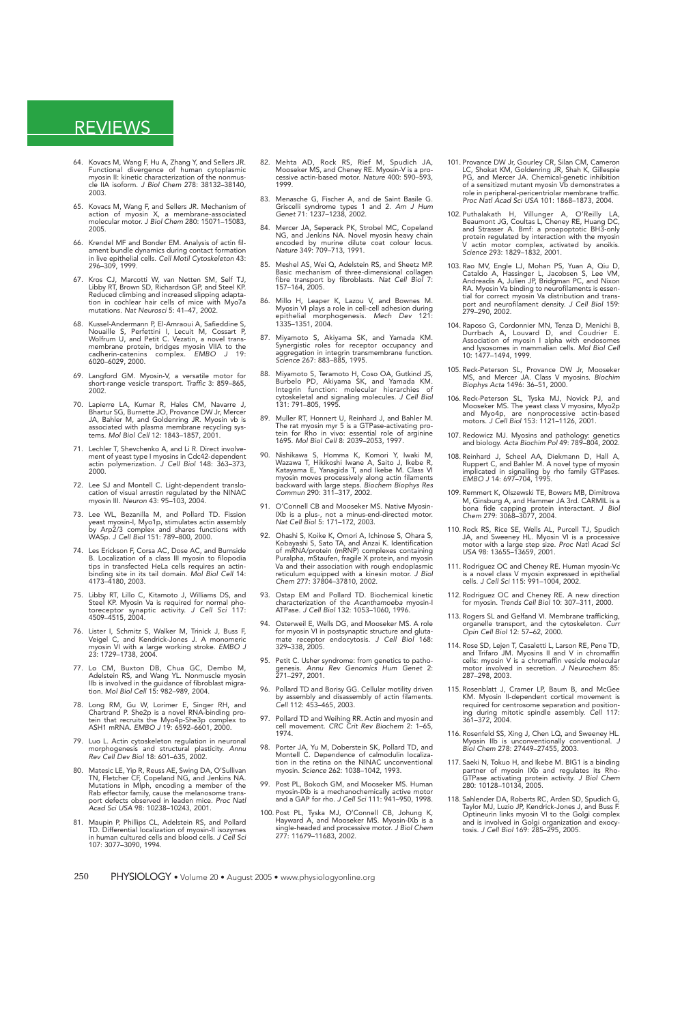- 64. Kovacs M, Wang F, Hu A, Zhang Y, and Sellers JR. Functional divergence of human cytoplasmic myosin II: kinetic characterization of the nonmus-cle IIA isoform. J Biol Chem 278: 38132–38140, 2003.
- 65. Kovacs M, Wang F, and Sellers JR. Mechanism of action of myosin X, a membrane-associated molecular motor. J Biol Chem 280: 15071–15083, 2005.
- 66. Krendel MF and Bonder EM. Analysis of actin filament bundle dynamics during contact formation in live epithelial cells. Cell Motil Cytoskeleton 43: 296–309, 1999.
- 67. Kros CJ, Marcotti W, van Netten SM, Self TJ, Libby RT, Brown SD, Richardson GP, and Steel KP. Reduced climbing and increased slipping adapta-tion in cochlear hair cells of mice with Myo7a mutations. Nat Neurosci 5: 41–47, 2002.
- 68. Kussel-Andermann P, El-Amraoui A, Safieddine S, Nouaille S, Perfettini I, Lecuit M, Cossart P, Wolfrum U, and Petit C. Vezatin, a novel trans-<br>membrane protein, bridges myosin VIIA to the<br>membrane protein, bridges myos 6020–6029, 2000.
- 69. Langford GM. Myosin-V, a versatile motor for short-range vesicle transport. Traffic 3: 859–865, 2002.
- 70. Lapierre LA, Kumar R, Hales CM, Navarre J, Bhartur SG, Burnette JO, Provance DW Jr, Mercer JA, Bahler M, and Goldenring JR. Myosin vb is associated with plasma membrane recycling sys-tems. Mol Biol Cell 12: 1843–1857, 2001.
- 71. Lechler T, Shevchenko A, and Li R. Direct involve-ment of yeast type I myosins in Cdc42-dependent actin polymerization. J Cell Biol 148: 363–373, 2000.
- 72. Lee SJ and Montell C. Light-dependent translo-cation of visual arrestin regulated by the NINAC myosin III. Neuron 43: 95–103, 2004.
- 73. Lee WL, Bezanilla M, and Pollard TD. Fission yeast myosin-I, Myo1p, stimulates actin assembly by Arp2/3 complex and shares functions with WASp. J Cell Biol 151: 789–800, 2000.
- 74. Les Erickson F, Corsa AC, Dose AC, and Burnside B. Localization of a class III myosin to filopodia tips in transfected HeLa cells requires an actin-binding site in its tail domain. Mol Biol Cell 14: 4173–4180, 2003.
- 75. Libby RT, Lillo C, Kitamoto J, Williams DS, and Steel KP. Myosin Va is required for normal pho-toreceptor synaptic activity. J Cell Sci 117: 4509–4515, 2004.
- 76. Lister I, Schmitz S, Walker M, Trinick J, Buss F, Veigel C, and Kendrick-Jones J. A monomeric myosin VI with a large working stroke. EMBO J 23: 1729–1738, 2004.
- 77. Lo CM, Buxton DB, Chua GC, Dembo M, Adelstein RS, and Wang YL. Nonmuscle myosin IIb is involved in the guidance of fibroblast migra-tion. Mol Biol Cell 15: 982–989, 2004.
- 78. Long RM, Gu W, Lorimer E, Singer RH, and Chartrand P. She2p is a novel RNA-binding pro-tein that recruits the Myo4p-She3p complex to ASH1 mRNA. EMBO J 19: 6592–6601, 2000.
- 79. Luo L. Actin cytoskeleton regulation in neuronal morphogenesis and structural plasticity. Annu Rev Cell Dev Biol 18: 601–635, 2002.
- 80. Matesic LE, Yip R, Reuss AE, Swing DA, O'Sullivan<br>TN, Fletcher CF, Copeland NG, and Jenkins NA.<br>Mutations in Mlph, encoding a member of the<br>Rab effector family, cause the melanosome trans-<br>port defects observed in lead
- 81. Maupin P, Phillips CL, Adelstein RS, and Pollard TD. Differential localization of myosin-II isozymes in human cultured cells and blood cells. J Cell Sci 107: 3077–3090, 1994.
- 82. Mehta AD, Rock RS, Rief M, Spudich JA, Mooseker MS, and Cheney RE. Myosin-V is a pro-cessive actin-based motor. Nature 400: 590–593, 1999.
- 83. Menasche G, Fischer A, and de Saint Basile G. Griscelli syndrome types 1 and 2. Am J Hum Genet 71: 1237–1238, 2002.
- 84. Mercer JA, Seperack PK, Strobel MC, Copeland NG, and Jenkins NA. Novel myosin heavy chain encoded by murine dilute coat colour locus. Nature 349: 709–713, 1991.
- 85. Meshel AS, Wei Q, Adelstein RS, and Sheetz MP. Basic mechanism of three-dimensional collagen fibre transport by fibroblasts. Nat Cell Biol 7: 157–164, 2005.
- 86. Millo H, Leaper K, Lazou V, and Bownes M. Myosin VI plays a role in cell-cell adhesion during epithelial morphogenesis. Mech Dev 121: 1335–1351, 2004.
- 87. Miyamoto S, Akiyama SK, and Yamada KM. Synergistic roles for receptor occupancy and aggregation in integrin transmembrane function. Science 267: 883–885, 1995.
- 88. Miyamoto S, Teramoto H, Coso OA, Gutkind JS, Burbelo PD, Akiyama SK, and Yamada KM. Integrin function: molecular hierarchies of cytoskeletal and signaling molecules. J Cell Biol 131: 791–805, 1995.
- 89. Muller RT, Honnert U, Reinhard J, and Bahler M. The rat myosin myr 5 is a GTPase-activating pro-tein for Rho in vivo: essential role of arginine 1695. Mol Biol Cell 8: 2039–2053, 1997.
- 90. Nishikawa S, Homma K, Komori Y, Iwaki M, Wazawa T, Hikikoshi Iwane A, Saito J, Ikebe R, Katayama E, Yanagida T, and Ikebe M. Class VI myosin moves processively along actin filaments backward with large steps. *Biochem*
- 91. O'Connell CB and Mooseker MS. Native Myosin-IXb is a plus-, not a minus-end-directed motor. Nat Cell Biol 5: 171–172, 2003.
- 92. Ohashi S, Koike K, Omori A, Ichinose S, Ohara S, Kobayashi S, Sato TA, and Anzai K. Identification of mRNA/protein (mRNP) complexes containing Puralpha, mStaufen, fragile X protein, and myosin Va and their association with rough endoplasmic reticulum equipped with a kinesin motor. J Biol Chem 277: 37804–37810, 2002.
- 93. Ostap EM and Pollard TD. Biochemical kinetic characterization of the Acanthamoeba myosin-I ATPase. J Cell Biol 132: 1053–1060, 1996.
- Osterweil E, Wells DG, and Mooseker MS. A role for myosin VI in postsynaptic structure and gluta-mate receptor endocytosis. J Cell Biol 168: 329–338, 2005.
- 95. Petit C. Usher syndrome: from genetics to patho-genesis. Annu Rev Genomics Hum Genet 2: 271–297, 2001.
- 96. Pollard TD and Borisy GG. Cellular motility driven by assembly and disassembly of actin filaments. Cell 112: 453–465, 2003.
- 97. Pollard TD and Weihing RR. Actin and myosin and cell movement. CRC Crit Rev Biochem 2: 1–65, 1974.
- 98. Porter JA, Yu M, Doberstein SK, Pollard TD, and Montell C. Dependence of calmodulin localiza-tion in the retina on the NINAC unconventional myosin. Science 262: 1038–1042, 1993.
- 99. Post PL, Bokoch GM, and Mooseker MS. Human myosin-IXb is a mechanochemically active motor and a GAP for rho. J Cell Sci 111: 941–950, 1998.
- 100. Post PL, Tyska MJ, O'Connell CB, Johung K, Hayward A, and Mooseker MS. Myosin-IXb is a single-headed and processive motor. J Biol Chem 277: 11679–11683, 2002.
- 101. Provance DW Jr, Gourley CR, Silan CM, Cameron LC, Shokat KM, Goldenring JR, Shah K, Gillespie PG, and Mercer JA. Chemical-genetic inhibition of a sensitized mutant myosin Vb demonstrates a role in peripheral-pericentriolar membrane traffic. Proc Natl Acad Sci USA 101: 1868–1873, 2004.
- 102. Puthalakath H, Villunger A, O'Reilly LA, Beaumont JG, Coultas L, Cheney RE, Huang DC, and Strasser A. Bmf: a proapoptotic BH3-only protein regulated by interaction with the myosin V actin motor complex, activated by anoikis. V actin motor complex, activated by anoikis.<br>Science 293: 1829–1832, 2001.
- 103. Rao MV, Engle LJ, Mohan PS, Yuan A, Qiu D, Cataldo A, Hassinger L, Jacobsen S, Lee VM, Andreadis A, Julien JP, Bridgman PC, and Nixon RA. Myosin Va binding to neurofilaments is essential for correct myosin Va distribu
- 104. Raposo G, Cordonnier MN, Tenza D, Menichi B, Durrbach A, Louvard D, and Coudrier E. Association of myosin I alpha with endosomes and lysosomes in mammalian cells. Mol Biol Cell 10: 1477–1494, 1999.
- 105. Reck-Peterson SL, Provance DW Jr, Mooseker MS, and Mercer JA. Class V myosins. Biochim Biophys Acta 1496: 36–51, 2000.
- 106. Reck-Peterson SL, Tyska MJ, Novick PJ, and Mooseker MS. The yeast class V myosins, Myo2p and Myo4p, are nonprocessive actin-based motors. J Cell Biol 153: 1121–1126, 2001.
- 107. Redowicz MJ. Myosins and pathology: genetics and biology. Acta Biochim Pol 49: 789–804, 2002.
- 108. Reinhard J, Scheel AA, Diekmann D, Hall A, Ruppert C, and Bahler M. A novel type of myosin implicated in signalling by rho family GTPases. EMBO J 14: 697–704, 1995.
- 109. Remmert K, Olszewski TE, Bowers MB, Dimitrova M, Ginsburg A, and Hammer JA 3rd. CARMIL is a bona fide capping protein interactant. J Biol Chem 279: 3068–3077, 2004.
- 110. Rock RS, Rice SE, Wells AL, Purcell TJ, Spudich JA, and Sweeney HL. Myosin VI is a processive motor with a large step size. Proc Natl Acad Sci USA 98: 13655–13659, 2001.
- 111. Rodriguez OC and Cheney RE. Human myosin-Vc is a novel class V myosin expressed in epithelial cells. J Cell Sci 115: 991–1004, 2002.
- 112. Rodriguez OC and Cheney RE. A new direction for myosin. Trends Cell Biol 10: 307–311, 2000.
- 113. Rogers SL and Gelfand VI. Membrane trafficking, organelle transport, and the cytoskeleton. Curr Opin Cell Biol 12: 57–62, 2000.
- 114. Rose SD, Lejen T, Casaletti L, Larson RE, Pene TD, and Trifaro JM. Myosins II and V in chromaffin cells: myosin V is a chromaffin vesicle molecular motor involved in secretion. J Neurochem 85: 287–298, 2003.
- 115. Rosenblatt J, Cramer LP, Baum B, and McGee KM. Myosin II-dependent cortical movement is required for centrosome separation and position-ing during mitotic spindle assembly. Cell 117: required for cer-<br>ing during mit<br>361–372, 2004.
- 116. Rosenfeld SS, Xing J, Chen LQ, and Sweeney HL. Myosin IIb is unconventionally conventional. J Biol Chem 278: 27449–27455, 2003.
- 117. Saeki N, Tokuo H, and Ikebe M. BIG1 is a binding partner of myosin IXb and regulates its Rho-GTPase activating protein activity. J Biol Chem 280: 10128–10134, 2005.
- 118. Sahlender DA, Roberts RC, Arden SD, Spudich G, Taylor MJ, Luzio JP, Kendrick-Jones J, and Buss F. Optineurin links myosin VI to the Golgi complex and is involved in Golgi organization and exocy-tosis. J Cell Biol 169: 285–295, 2005.